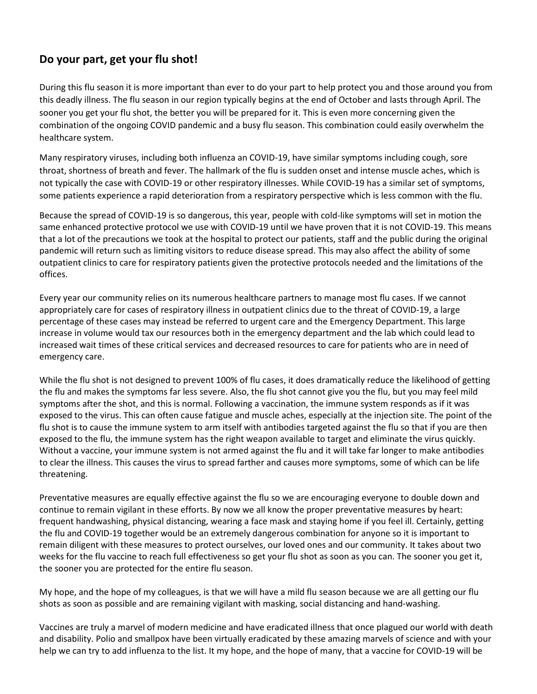## **Do your part, get your flu shot!**

During this flu season it is more important than ever to do your part to help protect you and those around you from this deadly illness. The flu season in our region typically begins at the end of October and lasts through April. The sooner you get your flu shot, the better you will be prepared for it. This is even more concerning given the combination of the ongoing COVID pandemic and a busy flu season. This combination could easily overwhelm the healthcare system.

Many respiratory viruses, including both influenza an COVID-19, have similar symptoms including cough, sore throat, shortness of breath and fever. The hallmark of the flu is sudden onset and intense muscle aches, which is not typically the case with COVID-19 or other respiratory illnesses. While COVID-19 has a similar set of symptoms, some patients experience a rapid deterioration from a respiratory perspective which is less common with the flu.

Because the spread of COVID-19 is so dangerous, this year, people with cold-like symptoms will set in motion the same enhanced protective protocol we use with COVID-19 until we have proven that it is not COVID-19. This means that a lot of the precautions we took at the hospital to protect our patients, staff and the public during the original pandemic will return such as limiting visitors to reduce disease spread. This may also affect the ability of some outpatient clinics to care for respiratory patients given the protective protocols needed and the limitations of the offices.

Every year our community relies on its numerous healthcare partners to manage most flu cases. If we cannot appropriately care for cases of respiratory illness in outpatient clinics due to the threat of COVID-19, a large percentage of these cases may instead be referred to urgent care and the Emergency Department. This large increase in volume would tax our resources both in the emergency department and the lab which could lead to increased wait times of these critical services and decreased resources to care for patients who are in need of emergency care.

While the flu shot is not designed to prevent 100% of flu cases, it does dramatically reduce the likelihood of getting the flu and makes the symptoms far less severe. Also, the flu shot cannot give you the flu, but you may feel mild symptoms after the shot, and this is normal. Following a vaccination, the immune system responds as if it was exposed to the virus. This can often cause fatigue and muscle aches, especially at the injection site. The point of the flu shot is to cause the immune system to arm itself with antibodies targeted against the flu so that if you are then exposed to the flu, the immune system has the right weapon available to target and eliminate the virus quickly. Without a vaccine, your immune system is not armed against the flu and it will take far longer to make antibodies to clear the illness. This causes the virus to spread farther and causes more symptoms, some of which can be life threatening.

Preventative measures are equally effective against the flu so we are encouraging everyone to double down and continue to remain vigilant in these efforts. By now we all know the proper preventative measures by heart: frequent handwashing, physical distancing, wearing a face mask and staying home if you feel ill. Certainly, getting the flu and COVID-19 together would be an extremely dangerous combination for anyone so it is important to remain diligent with these measures to protect ourselves, our loved ones and our community. It takes about two weeks for the flu vaccine to reach full effectiveness so get your flu shot as soon as you can. The sooner you get it, the sooner you are protected for the entire flu season.

My hope, and the hope of my colleagues, is that we will have a mild flu season because we are all getting our flu shots as soon as possible and are remaining vigilant with masking, social distancing and hand-washing.

Vaccines are truly a marvel of modern medicine and have eradicated illness that once plagued our world with death and disability. Polio and smallpox have been virtually eradicated by these amazing marvels of science and with your help we can try to add influenza to the list. It my hope, and the hope of many, that a vaccine for COVID-19 will be